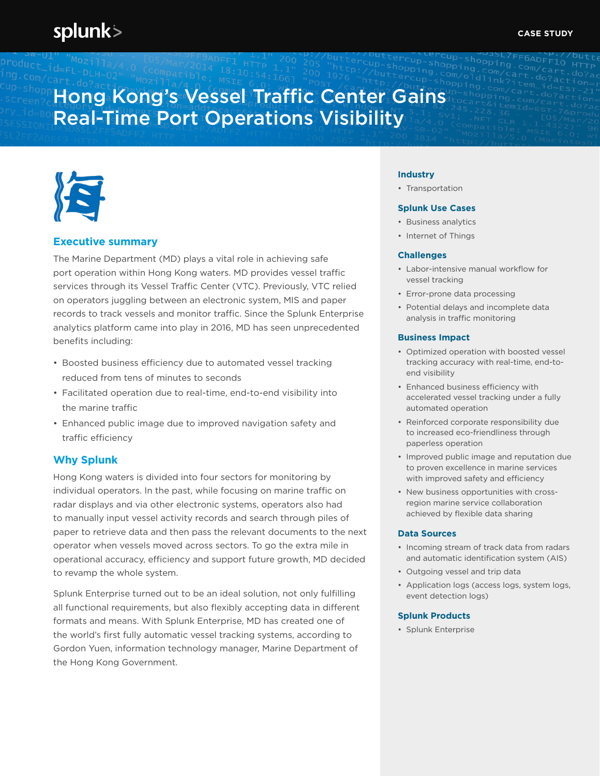# splunk>

# Hong Kong's Vessel Traffic Center Gains Real-Time Port Operations Visibility



### **Executive summary**

The Marine Department (MD) plays a vital role in achieving safe port operation within Hong Kong waters. MD provides vessel traffic services through its Vessel Traffic Center (VTC). Previously, VTC relied on operators juggling between an electronic system, MIS and paper records to track vessels and monitor traffic. Since the Splunk Enterprise analytics platform came into play in 2016, MD has seen unprecedented benefits including:

- Boosted business efficiency due to automated vessel tracking reduced from tens of minutes to seconds
- Facilitated operation due to real-time, end-to-end visibility into the marine traffic
- Enhanced public image due to improved navigation safety and traffic efficiency

### **Why Splunk**

Hong Kong waters is divided into four sectors for monitoring by individual operators. In the past, while focusing on marine traffic on radar displays and via other electronic systems, operators also had to manually input vessel activity records and search through piles of paper to retrieve data and then pass the relevant documents to the next operator when vessels moved across sectors. To go the extra mile in operational accuracy, efficiency and support future growth, MD decided to revamp the whole system.

Splunk Enterprise turned out to be an ideal solution, not only fulfilling all functional requirements, but also flexibly accepting data in different formats and means. With Splunk Enterprise, MD has created one of the world's first fully automatic vessel tracking systems, according to Gordon Yuen, information technology manager, Marine Department of the Hong Kong Government.

#### **Industry**

• Transportation

#### **Splunk Use Cases**

- Business analytics
- Internet of Things

#### **Challenges**

- Labor-intensive manual workflow for vessel tracking
- Error-prone data processing
- Potential delays and incomplete data analysis in traffic monitoring

#### **Business Impact**

- Optimized operation with boosted vessel tracking accuracy with real-time, end-toend visibility
- Enhanced business efficiency with accelerated vessel tracking under a fully automated operation
- Reinforced corporate responsibility due to increased eco-friendliness through paperless operation
- Improved public image and reputation due to proven excellence in marine services with improved safety and efficiency
- New business opportunities with crossregion marine service collaboration achieved by flexible data sharing

#### **Data Sources**

- Incoming stream of track data from radars and automatic identification system (AIS)
- Outgoing vessel and trip data
- Application logs (access logs, system logs, event detection logs)

#### **Splunk Products**

• Splunk Enterprise